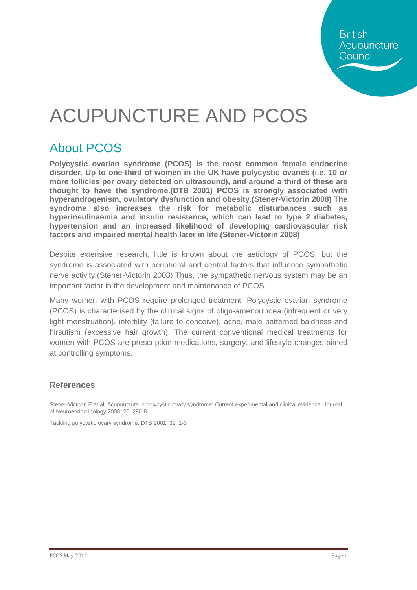**British** Acupuncture Council

## ACUPUNCTURE AND PCOS

### About PCOS

**Polycystic ovarian syndrome (PCOS) is the most common female endocrine disorder. Up to one-third of women in the UK have polycystic ovaries (i.e. 10 or more follicles per ovary detected on ultrasound), and around a third of these are thought to have the syndrome.(DTB 2001) PCOS is strongly associated with hyperandrogenism, ovulatory dysfunction and obesity.(Stener-Victorin 2008) The syndrome also increases the risk for metabolic disturbances such as hyperinsulinaemia and insulin resistance, which can lead to type 2 diabetes, hypertension and an increased likelihood of developing cardiovascular risk factors and impaired mental health later in life.(Stener-Victorin 2008)**

Despite extensive research, little is known about the aetiology of PCOS, but the syndrome is associated with peripheral and central factors that influence sympathetic nerve activity.(Stener-Victorin 2008) Thus, the sympathetic nervous system may be an important factor in the development and maintenance of PCOS.

Many women with PCOS require prolonged treatment. Polycystic ovarian syndrome (PCOS) is characterised by the clinical signs of oligo-amenorrhoea (infrequent or very light menstruation), infertility (failure to conceive), acne, male patterned baldness and hirsutism (excessive hair growth). The current conventional medical treatments for women with PCOS are prescription medications, surgery, and lifestyle changes aimed at controlling symptoms.

#### **References**

Stener-Victorin E et al. Acupuncture in polycystic ovary syndrome: Current experimental and clinical evidence. Journal of Neuroendocrinology 2008; 20: 290-8.

Tackling polycystic ovary syndrome. DTB 2001; 39: 1-3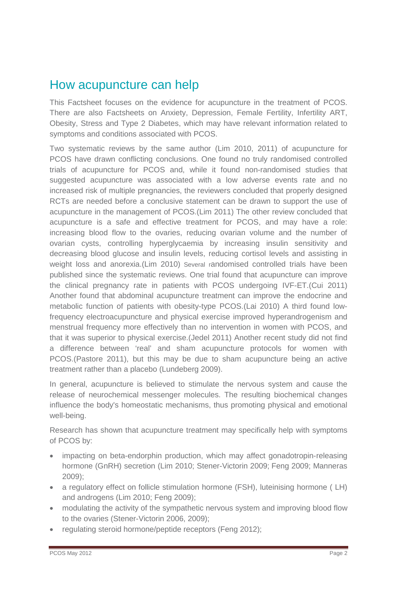#### How acupuncture can help

This Factsheet focuses on the evidence for acupuncture in the treatment of PCOS. There are also Factsheets on Anxiety, Depression, Female Fertility, Infertility ART, Obesity, Stress and Type 2 Diabetes, which may have relevant information related to symptoms and conditions associated with PCOS.

Two systematic reviews by the same author (Lim 2010, 2011) of acupuncture for PCOS have drawn conflicting conclusions. One found no truly randomised controlled trials of acupuncture for PCOS and, while it found non-randomised studies that suggested acupuncture was associated with a low adverse events rate and no increased risk of multiple pregnancies, the reviewers concluded that properly designed RCTs are needed before a conclusive statement can be drawn to support the use of acupuncture in the management of PCOS.(Lim 2011) The other review concluded that acupuncture is a safe and effective treatment for PCOS, and may have a role: increasing blood flow to the ovaries, reducing ovarian volume and the number of ovarian cysts, controlling hyperglycaemia by increasing insulin sensitivity and decreasing blood glucose and insulin levels, reducing cortisol levels and assisting in weight loss and anorexia.(Lim 2010) Several randomised controlled trials have been published since the systematic reviews. One trial found that acupuncture can improve the clinical pregnancy rate in patients with PCOS undergoing IVF-ET.(Cui 2011) Another found that abdominal acupuncture treatment can improve the endocrine and metabolic function of patients with obesity-type PCOS.(Lai 2010) A third found lowfrequency electroacupuncture and physical exercise improved hyperandrogenism and menstrual frequency more effectively than no intervention in women with PCOS, and that it was superior to physical exercise.(Jedel 2011) Another recent study did not find a difference between 'real' and sham acupuncture protocols for women with PCOS.(Pastore 2011), but this may be due to sham acupuncture being an active treatment rather than a placebo (Lundeberg 2009).

In general, acupuncture is believed to stimulate the nervous system and cause the release of neurochemical messenger molecules. The resulting biochemical changes influence the body's homeostatic mechanisms, thus promoting physical and emotional well-being.

Research has shown that acupuncture treatment may specifically help with symptoms of PCOS by:

- impacting on beta-endorphin production, which may affect gonadotropin-releasing hormone (GnRH) secretion (Lim 2010; Stener-Victorin 2009; Feng 2009; Manneras 2009);
- a regulatory effect on follicle stimulation hormone (FSH), luteinising hormone (LH) and androgens (Lim 2010; Feng 2009);
- modulating the activity of the sympathetic nervous system and improving blood flow to the ovaries (Stener-Victorin 2006, 2009);
- regulating steroid hormone/peptide receptors (Feng 2012);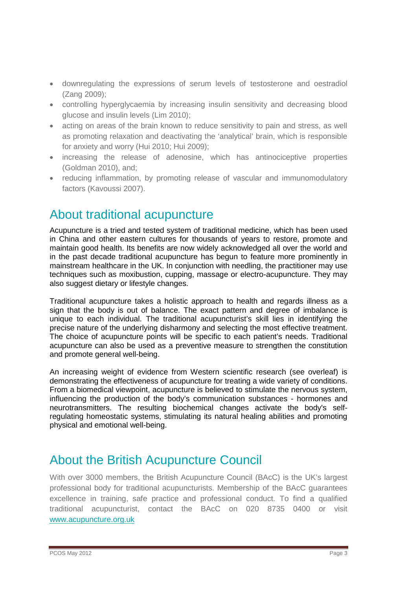- downregulating the expressions of serum levels of testosterone and oestradiol (Zang 2009);
- controlling hyperglycaemia by increasing insulin sensitivity and decreasing blood glucose and insulin levels (Lim 2010);
- acting on areas of the brain known to reduce sensitivity to pain and stress, as well as promoting relaxation and deactivating the 'analytical' brain, which is responsible for anxiety and worry (Hui 2010; Hui 2009);
- increasing the release of adenosine, which has antinociceptive properties (Goldman 2010), and;
- reducing inflammation, by promoting release of vascular and immunomodulatory factors (Kavoussi 2007).

#### About traditional acupuncture

Acupuncture is a tried and tested system of traditional medicine, which has been used in China and other eastern cultures for thousands of years to restore, promote and maintain good health. Its benefits are now widely acknowledged all over the world and in the past decade traditional acupuncture has begun to feature more prominently in mainstream healthcare in the UK. In conjunction with needling, the practitioner may use techniques such as moxibustion, cupping, massage or electro-acupuncture. They may also suggest dietary or lifestyle changes.

Traditional acupuncture takes a holistic approach to health and regards illness as a sign that the body is out of balance. The exact pattern and degree of imbalance is unique to each individual. The traditional acupuncturist's skill lies in identifying the precise nature of the underlying disharmony and selecting the most effective treatment. The choice of acupuncture points will be specific to each patient's needs. Traditional acupuncture can also be used as a preventive measure to strengthen the constitution and promote general well-being.

An increasing weight of evidence from Western scientific research (see overleaf) is demonstrating the effectiveness of acupuncture for treating a wide variety of conditions. From a biomedical viewpoint, acupuncture is believed to stimulate the nervous system, influencing the production of the body's communication substances - hormones and neurotransmitters. The resulting biochemical changes activate the body's selfregulating homeostatic systems, stimulating its natural healing abilities and promoting physical and emotional well-being.

#### About the British Acupuncture Council

With over 3000 members, the British Acupuncture Council (BAcC) is the UK's largest professional body for traditional acupuncturists. Membership of the BAcC guarantees excellence in training, safe practice and professional conduct. To find a qualified traditional acupuncturist, contact the BAcC on 020 8735 0400 or visit [www.acupuncture.org.uk](http://www.acupuncture.org.uk/)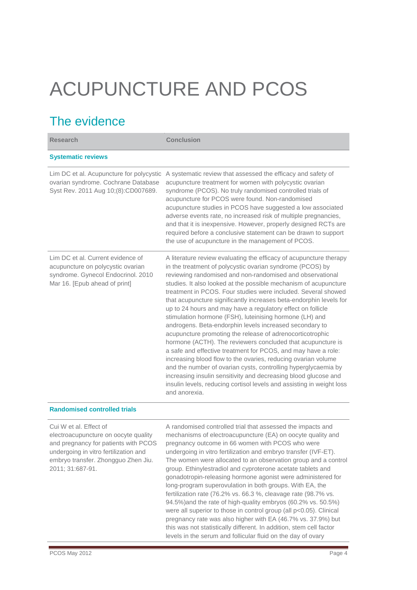# ACUPUNCTURE AND PCOS

## The evidence

| <b>Research</b>                                                                                                                               | Conclusion                                                                                                                                                                                                                                                                                                                                                                                                                                                                                                                                                                                                                                                                                                                                                                                                                                                                                                                                                                                                                                                                                |
|-----------------------------------------------------------------------------------------------------------------------------------------------|-------------------------------------------------------------------------------------------------------------------------------------------------------------------------------------------------------------------------------------------------------------------------------------------------------------------------------------------------------------------------------------------------------------------------------------------------------------------------------------------------------------------------------------------------------------------------------------------------------------------------------------------------------------------------------------------------------------------------------------------------------------------------------------------------------------------------------------------------------------------------------------------------------------------------------------------------------------------------------------------------------------------------------------------------------------------------------------------|
| <b>Systematic reviews</b>                                                                                                                     |                                                                                                                                                                                                                                                                                                                                                                                                                                                                                                                                                                                                                                                                                                                                                                                                                                                                                                                                                                                                                                                                                           |
| Lim DC et al. Acupuncture for polycystic<br>ovarian syndrome. Cochrane Database<br>Syst Rev. 2011 Aug 10;(8):CD007689.                        | A systematic review that assessed the efficacy and safety of<br>acupuncture treatment for women with polycystic ovarian<br>syndrome (PCOS). No truly randomised controlled trials of<br>acupuncture for PCOS were found. Non-randomised<br>acupuncture studies in PCOS have suggested a low associated<br>adverse events rate, no increased risk of multiple pregnancies,<br>and that it is inexpensive. However, properly designed RCTs are<br>required before a conclusive statement can be drawn to support<br>the use of acupuncture in the management of PCOS.                                                                                                                                                                                                                                                                                                                                                                                                                                                                                                                       |
| Lim DC et al. Current evidence of<br>acupuncture on polycystic ovarian<br>syndrome. Gynecol Endocrinol. 2010<br>Mar 16. [Epub ahead of print] | A literature review evaluating the efficacy of acupuncture therapy<br>in the treatment of polycystic ovarian syndrome (PCOS) by<br>reviewing randomised and non-randomised and observational<br>studies. It also looked at the possible mechanism of acupuncture<br>treatment in PCOS. Four studies were included. Several showed<br>that acupuncture significantly increases beta-endorphin levels for<br>up to 24 hours and may have a regulatory effect on follicle<br>stimulation hormone (FSH), luteinising hormone (LH) and<br>androgens. Beta-endorphin levels increased secondary to<br>acupuncture promoting the release of adrenocorticotrophic<br>hormone (ACTH). The reviewers concluded that acupuncture is<br>a safe and effective treatment for PCOS, and may have a role:<br>increasing blood flow to the ovaries, reducing ovarian volume<br>and the number of ovarian cysts, controlling hyperglycaemia by<br>increasing insulin sensitivity and decreasing blood glucose and<br>insulin levels, reducing cortisol levels and assisting in weight loss<br>and anorexia. |

Cui W et al. Effect of electroacupuncture on oocyte quality and pregnancy for patients with PCOS undergoing in vitro fertilization and embryo transfer. Zhongguo Zhen Jiu. 2011; 31:687-91. A randomised controlled trial that assessed the impacts and mechanisms of electroacupuncture (EA) on oocyte quality and pregnancy outcome in 66 women with PCOS who were undergoing in vitro fertilization and embryo transfer (IVF-ET). The women were allocated to an observation group and a control group. Ethinylestradiol and cyproterone acetate tablets and gonadotropin-releasing hormone agonist were administered for long-program superovulation in both groups. With EA, the fertilization rate (76.2% vs. 66.3 %, cleavage rate (98.7% vs. 94.5%)and the rate of high-quality embryos (60.2% vs. 50.5%) were all superior to those in control group (all p<0.05). Clinical pregnancy rate was also higher with EA (46.7% vs. 37.9%) but this was not statistically different. In addition, stem cell factor levels in the serum and follicular fluid on the day of ovary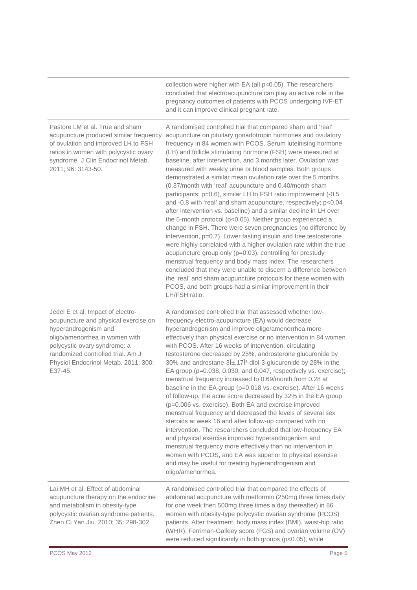collection were higher with EA (all p<0.05). The researchers concluded that electroacupuncture can play an active role in the pregnancy outcomes of patients with PCOS undergoing IVF-ET and it can improve clinical pregnant rate.

Pastore LM et al. True and sham acupuncture produced similar frequency of ovulation and improved LH to FSH ratios in women with polycystic ovary syndrome. J Clin Endocrinol Metab. 2011; 96: 3143-50. A randomised controlled trial that compared sham and 'real' acupuncture on pituitary gonadotropin hormones and ovulatory frequency in 84 women with PCOS. Serum luteinising hormone (LH) and follicle stimulating hormone (FSH) were measured at baseline, after intervention, and 3 months later. Ovulation was measured with weekly urine or blood samples. Both groups demonstrated a similar mean ovulation rate over the 5 months (0.37/month with 'real' acupuncture and 0.40/month sham participants; p=0.6), similar LH to FSH ratio improvement (-0.5 and -0.8 with 'real' and sham acupuncture, respectively; p<0.04 after intervention vs. baseline) and a similar decline in LH over the 5-month protocol (p<0.05). Neither group experienced a change in FSH. There were seven pregnancies (no difference by intervention, p=0.7). Lower fasting insulin and free testosterone were highly correlated with a higher ovulation rate within the true acupuncture group only (p=0.03), controlling for prestudy menstrual frequency and body mass index. The researchers concluded that they were unable to discern a difference between the 'real' and sham acupuncture protocols for these women with PCOS, and both groups had a similar improvement in their LH/FSH ratio. Jedel E et al. Impact of electroacupuncture and physical exercise on hyperandrogenism and oligo/amenorrhea in women with polycystic ovary syndrome: a randomized controlled trial. Am J Physiol Endocrinol Metab. 2011; 300: E37-45. A randomised controlled trial that assessed whether lowfrequency electro-acupuncture (EA) would decrease hyperandrogenism and improve oligo/amenorrhea more effectively than physical exercise or no intervention in 84 women with PCOS. After 16 weeks of intervention, circulating testosterone decreased by 25%, androsterone glucuronide by 30% and androstane-3α,17Î<sup>2</sup>-diol-3-glucuronide by 28% in the EA group (p=0.038, 0.030, and 0.047, respectively vs. exercise); menstrual frequency increased to 0.69/month from 0.28 at baseline in the EA group (p=0.018 vs. exercise). After 16 weeks of follow-up, the acne score decreased by 32% in the EA group (p=0.006 vs. exercise). Both EA and exercise improved menstrual frequency and decreased the levels of several sex steroids at week 16 and after follow-up compared with no intervention. The researchers concluded that low-frequency EA and physical exercise improved hyperandrogenism and menstrual frequency more effectively than no intervention in women with PCOS, and EA was superior to physical exercise and may be useful for treating hyperandrogenism and oligo/amenorrhea. Lai MH et al. Effect of abdominal acupuncture therapy on the endocrine and metabolism in obesity-type polycystic ovarian syndrome patients. Zhen Ci Yan Jiu. 2010; 35: 298-302. A randomised controlled trial that compared the effects of abdominal acupuncture with metformin (250mg three times daily for one week then 500mg three times a day thereafter) in 86 women with obesity-type polycystic ovarian syndrome (PCOS) patients. After treatment, body mass index (BMI), waist-hip ratio

(WHR), Ferriman-Galleey score (FGS) and ovarian volume (OV)

were reduced significantly in both groups (p<0.05), while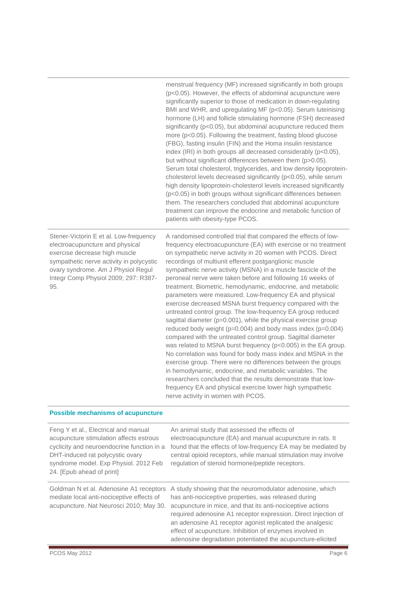|                                                                                                                                                                                                                                             | menstrual frequency (MF) increased significantly in both groups<br>(p<0.05). However, the effects of abdominal acupuncture were<br>significantly superior to those of medication in down-regulating<br>BMI and WHR, and upregulating MF (p<0.05). Serum luteinising<br>hormone (LH) and follicle stimulating hormone (FSH) decreased<br>significantly (p<0.05), but abdominal acupuncture reduced them<br>more (p<0.05). Following the treatment, fasting blood glucose<br>(FBG), fasting insulin (FIN) and the Homa insulin resistance<br>index (IRI) in both groups all decreased considerably (p<0.05),<br>but without significant differences between them (p>0.05).<br>Serum total cholesterol, triglycerides, and low density lipoprotein-<br>cholesterol levels decreased significantly (p<0.05), while serum<br>high density lipoprotein-cholesterol levels increased significantly<br>(p<0.05) in both groups without significant differences between<br>them. The researchers concluded that abdominal acupuncture<br>treatment can improve the endocrine and metabolic function of<br>patients with obesity-type PCOS.                                                                                                                                                         |
|---------------------------------------------------------------------------------------------------------------------------------------------------------------------------------------------------------------------------------------------|-------------------------------------------------------------------------------------------------------------------------------------------------------------------------------------------------------------------------------------------------------------------------------------------------------------------------------------------------------------------------------------------------------------------------------------------------------------------------------------------------------------------------------------------------------------------------------------------------------------------------------------------------------------------------------------------------------------------------------------------------------------------------------------------------------------------------------------------------------------------------------------------------------------------------------------------------------------------------------------------------------------------------------------------------------------------------------------------------------------------------------------------------------------------------------------------------------------------------------------------------------------------------------------------|
| Stener-Victorin E et al. Low-frequency<br>electroacupuncture and physical<br>exercise decrease high muscle<br>sympathetic nerve activity in polycystic<br>ovary syndrome. Am J Physiol Regul<br>Integr Comp Physiol 2009; 297: R387-<br>95. | A randomised controlled trial that compared the effects of low-<br>frequency electroacupuncture (EA) with exercise or no treatment<br>on sympathetic nerve activity in 20 women with PCOS. Direct<br>recordings of multiunit efferent postganglionic muscle<br>sympathetic nerve activity (MSNA) in a muscle fascicle of the<br>peroneal nerve were taken before and following 16 weeks of<br>treatment. Biometric, hemodynamic, endocrine, and metabolic<br>parameters were measured. Low-frequency EA and physical<br>exercise decreased MSNA burst frequency compared with the<br>untreated control group. The low-frequency EA group reduced<br>sagittal diameter (p=0.001), while the physical exercise group<br>reduced body weight ( $p=0.004$ ) and body mass index ( $p=0.004$ )<br>compared with the untreated control group. Sagittal diameter<br>was related to MSNA burst frequency (p<0.005) in the EA group.<br>No correlation was found for body mass index and MSNA in the<br>exercise group. There were no differences between the groups<br>in hemodynamic, endocrine, and metabolic variables. The<br>researchers concluded that the results demonstrate that low-<br>frequency EA and physical exercise lower high sympathetic<br>nerve activity in women with PCOS. |

#### **Possible mechanisms of acupuncture**

| Feng Y et al., Electrical and manual<br>acupuncture stimulation affects estrous<br>cyclicity and neuroendocrine function in a<br>DHT-induced rat polycystic ovary<br>syndrome model. Exp Physiol. 2012 Feb<br>24. [Epub ahead of print] | An animal study that assessed the effects of<br>electroacupuncture (EA) and manual acupuncture in rats. It<br>found that the effects of low-frequency EA may be mediated by<br>central opioid receptors, while manual stimulation may involve<br>regulation of steroid hormone/peptide receptors.                                                                                                                                       |
|-----------------------------------------------------------------------------------------------------------------------------------------------------------------------------------------------------------------------------------------|-----------------------------------------------------------------------------------------------------------------------------------------------------------------------------------------------------------------------------------------------------------------------------------------------------------------------------------------------------------------------------------------------------------------------------------------|
| Goldman N et al. Adenosine A1 receptors<br>mediate local anti-nociceptive effects of<br>acupuncture. Nat Neurosci 2010; May 30.                                                                                                         | A study showing that the neuromodulator adenosine, which<br>has anti-nociceptive properties, was released during<br>acupuncture in mice, and that its anti-nociceptive actions<br>required adenosine A1 receptor expression. Direct injection of<br>an adenosine A1 receptor agonist replicated the analgesic<br>effect of acupuncture. Inhibition of enzymes involved in<br>adenosine degradation potentiated the acupuncture-elicited |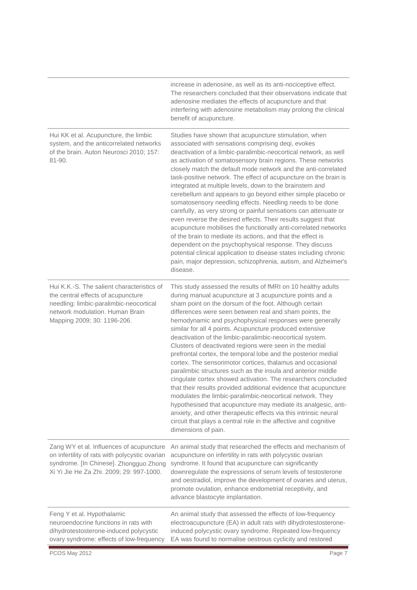|                                                                                                                                                                                               | increase in adenosine, as well as its anti-nociceptive effect.<br>The researchers concluded that their observations indicate that<br>adenosine mediates the effects of acupuncture and that<br>interfering with adenosine metabolism may prolong the clinical<br>benefit of acupuncture.                                                                                                                                                                                                                                                                                                                                                                                                                                                                                                                                                                                                                                                                                                                                                                                                                                      |
|-----------------------------------------------------------------------------------------------------------------------------------------------------------------------------------------------|-------------------------------------------------------------------------------------------------------------------------------------------------------------------------------------------------------------------------------------------------------------------------------------------------------------------------------------------------------------------------------------------------------------------------------------------------------------------------------------------------------------------------------------------------------------------------------------------------------------------------------------------------------------------------------------------------------------------------------------------------------------------------------------------------------------------------------------------------------------------------------------------------------------------------------------------------------------------------------------------------------------------------------------------------------------------------------------------------------------------------------|
| Hui KK et al. Acupuncture, the limbic<br>system, and the anticorrelated networks<br>of the brain. Auton Neurosci 2010; 157:<br>$81 - 90.$                                                     | Studies have shown that acupuncture stimulation, when<br>associated with sensations comprising deqi, evokes<br>deactivation of a limbic-paralimbic-neocortical network, as well<br>as activation of somatosensory brain regions. These networks<br>closely match the default mode network and the anti-correlated<br>task-positive network. The effect of acupuncture on the brain is<br>integrated at multiple levels, down to the brainstem and<br>cerebellum and appears to go beyond either simple placebo or<br>somatosensory needling effects. Needling needs to be done<br>carefully, as very strong or painful sensations can attenuate or<br>even reverse the desired effects. Their results suggest that<br>acupuncture mobilises the functionally anti-correlated networks<br>of the brain to mediate its actions, and that the effect is<br>dependent on the psychophysical response. They discuss<br>potential clinical application to disease states including chronic<br>pain, major depression, schizophrenia, autism, and Alzheimer's<br>disease.                                                            |
| Hui K.K.-S. The salient characteristics of<br>the central effects of acupuncture<br>needling: limbic-paralimbic-neocortical<br>network modulation. Human Brain<br>Mapping 2009; 30: 1196-206. | This study assessed the results of fMRI on 10 healthy adults<br>during manual acupuncture at 3 acupuncture points and a<br>sham point on the dorsum of the foot. Although certain<br>differences were seen between real and sham points, the<br>hemodynamic and psychophysical responses were generally<br>similar for all 4 points. Acupuncture produced extensive<br>deactivation of the limbic-paralimbic-neocortical system.<br>Clusters of deactivated regions were seen in the medial<br>prefrontal cortex, the temporal lobe and the posterior medial<br>cortex. The sensorimotor cortices, thalamus and occasional<br>paralimbic structures such as the insula and anterior middle<br>cingulate cortex showed activation. The researchers concluded<br>that their results provided additional evidence that acupuncture<br>modulates the limbic-paralimbic-neocortical network. They<br>hypothesised that acupuncture may mediate its analgesic, anti-<br>anxiety, and other therapeutic effects via this intrinsic neural<br>circuit that plays a central role in the affective and cognitive<br>dimensions of pain. |
| Zang WY et al. Influences of acupuncture<br>on infertility of rats with polycystic ovarian<br>syndrome. [In Chinese]. Zhongguo Zhong<br>Xi Yi Jie He Za Zhi. 2009; 29: 997-1000.              | An animal study that researched the effects and mechanism of<br>acupuncture on infertility in rats with polycystic ovarian<br>syndrome. It found that acupuncture can significantly<br>downregulate the expressions of serum levels of testosterone<br>and oestradiol, improve the development of ovaries and uterus,<br>promote ovulation, enhance endometrial receptivity, and<br>advance blastocyte implantation.                                                                                                                                                                                                                                                                                                                                                                                                                                                                                                                                                                                                                                                                                                          |
| Feng Y et al. Hypothalamic<br>neuroendocrine functions in rats with<br>dihydrotestosterone-induced polycystic<br>ovary syndrome: effects of low-frequency                                     | An animal study that assessed the effects of low-frequency<br>electroacupuncture (EA) in adult rats with dihydrotestosterone-<br>induced polycystic ovary syndrome. Repeated low-frequency<br>EA was found to normalise oestrous cyclicity and restored                                                                                                                                                                                                                                                                                                                                                                                                                                                                                                                                                                                                                                                                                                                                                                                                                                                                       |
| PCOS May 2012                                                                                                                                                                                 | Page 7                                                                                                                                                                                                                                                                                                                                                                                                                                                                                                                                                                                                                                                                                                                                                                                                                                                                                                                                                                                                                                                                                                                        |